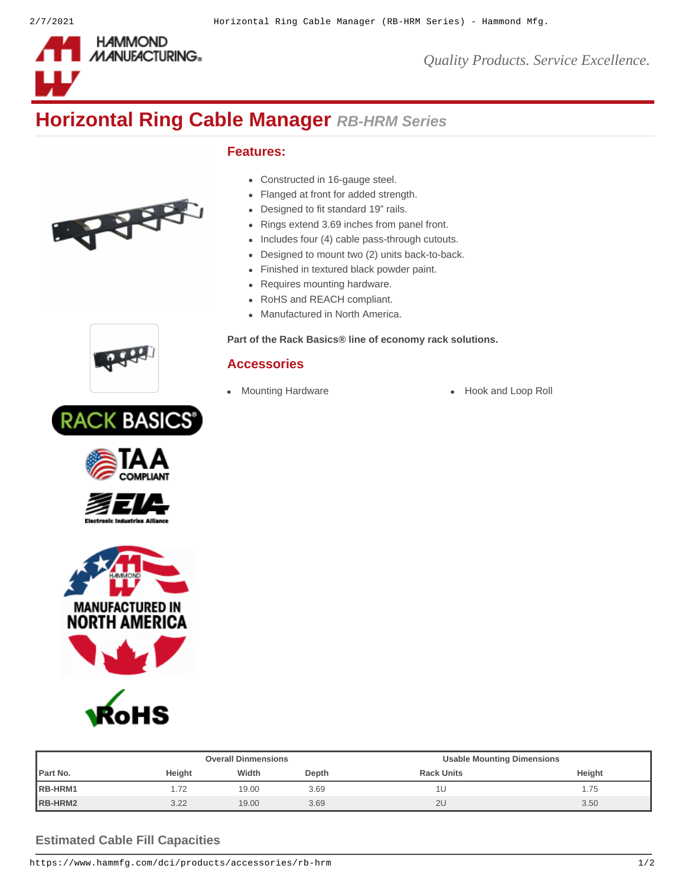

*Quality Products. Service Excellence.*

# **Horizontal Ring Cable Manager** *RB-HRM Series*

# **Features:**

- Constructed in 16-gauge steel.
- Flanged at front for added strength.
- Designed to fit standard 19" rails.
- Rings extend 3.69 inches from panel front.
- Includes four (4) cable pass-through cutouts.
- Designed to mount two (2) units back-to-back.  $\bullet$
- Finished in textured black powder paint.
- Requires mounting hardware.
- RoHS and REACH compliant.
- Manufactured in North America.

#### **Part of the [Rack Basics®](https://www.hammfg.com/dci/products/rack-basics) line of economy rack solutions.**

# **Accessories**

- 
- [Mounting Hardware](https://www.hammfg.com/dci/products/accessories/mounting-hardware?referer=899&itm_type=accessory) **[Hook and Loop Roll](https://www.hammfg.com/dci/products/accessories/ts?referer=899&itm_type=accessory)**



THE R.











|          |        | <b>Overall Dinmensions</b> |      | <b>Usable Mounting Dimensions</b> |        |  |
|----------|--------|----------------------------|------|-----------------------------------|--------|--|
| Part No. | Height | Width<br>Depth             |      | <b>Rack Units</b>                 | Height |  |
| RB-HRM1  |        | 19.00                      | 3.69 | 1U                                | 1.75   |  |
| RB-HRM2  | 3.22   | 19.00                      | 3.69 | 2U                                | 3.50   |  |

### **Estimated Cable Fill Capacities**